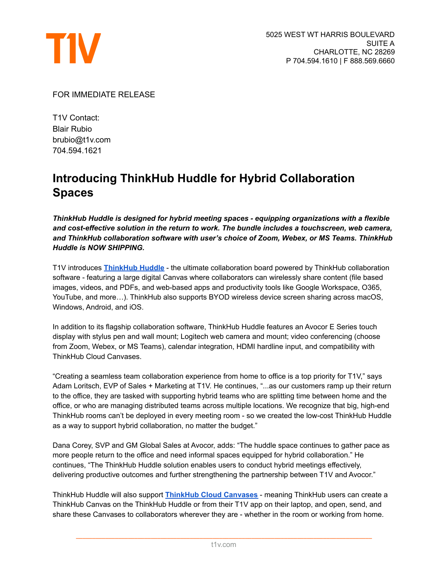

FOR IMMEDIATE RELEASE

T1V Contact: Blair Rubio brubio@t1v.com 704.594.1621

## **Introducing ThinkHub Huddle for Hybrid Collaboration Spaces**

*ThinkHub Huddle is designed for hybrid meeting spaces - equipping organizations with a flexible and cost-effective solution in the return to work. The bundle includes a touchscreen, web camera, and ThinkHub collaboration software with user's choice of Zoom, Webex, or MS Teams. ThinkHub Huddle is NOW SHIPPING.*

T1V introduces **[ThinkHub](https://www.t1v.com/thinkhub-huddle) Huddle** - the ultimate collaboration board powered by ThinkHub collaboration software - featuring a large digital Canvas where collaborators can wirelessly share content (file based images, videos, and PDFs, and web-based apps and productivity tools like Google Workspace, O365, YouTube, and more…). ThinkHub also supports BYOD wireless device screen sharing across macOS, Windows, Android, and iOS.

In addition to its flagship collaboration software, ThinkHub Huddle features an Avocor E Series touch display with stylus pen and wall mount; Logitech web camera and mount; video conferencing (choose from Zoom, Webex, or MS Teams), calendar integration, HDMI hardline input, and compatibility with ThinkHub Cloud Canvases.

"Creating a seamless team collaboration experience from home to office is a top priority for T1V," says Adam Loritsch, EVP of Sales + Marketing at T1V. He continues, "...as our customers ramp up their return to the office, they are tasked with supporting hybrid teams who are splitting time between home and the office, or who are managing distributed teams across multiple locations. We recognize that big, high-end ThinkHub rooms can't be deployed in every meeting room - so we created the low-cost ThinkHub Huddle as a way to support hybrid collaboration, no matter the budget."

Dana Corey, SVP and GM Global Sales at Avocor, adds: "The huddle space continues to gather pace as more people return to the office and need informal spaces equipped for hybrid collaboration." He continues, "The ThinkHub Huddle solution enables users to conduct hybrid meetings effectively, delivering productive outcomes and further strengthening the partnership between T1V and Avocor."

ThinkHub Huddle will also support **ThinkHub Cloud [Canvases](https://www.t1v.com/hubfs/Press%20Releases/T1V%20Launches%20ThinkHub%20Cloud%20Beta%20for%20Customers%20+%20Partners.pdf)** - meaning ThinkHub users can create a ThinkHub Canvas on the ThinkHub Huddle or from their T1V app on their laptop, and open, send, and share these Canvases to collaborators wherever they are - whether in the room or working from home.